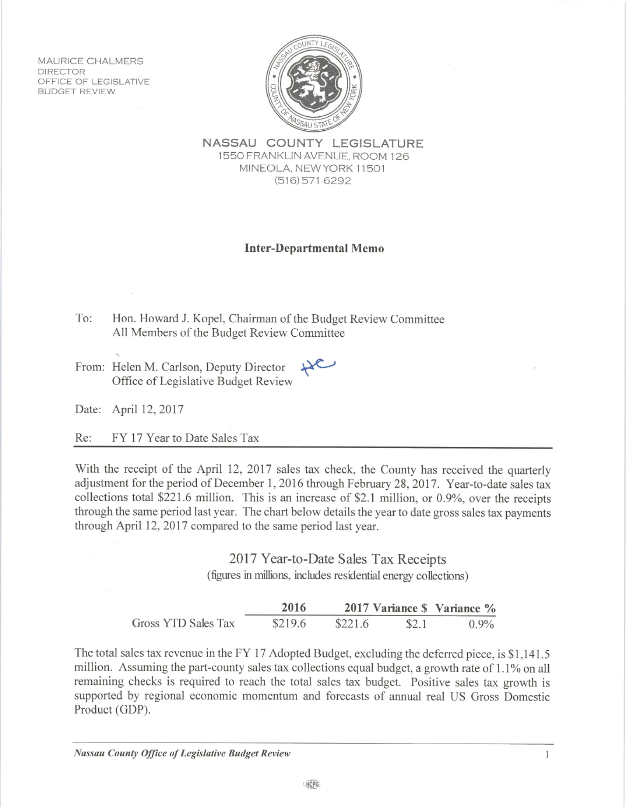**MAURICE CHALMERS DIRECTOR** OFFICE OF LEGISLATIVE **BUDGET REVIEW** 



NASSAU COUNTY LEGISLATURE 1550 FRANKLIN AVENUE, ROOM 126 MINEOLA, NEW YORK 11501  $(516)$  571-6292

## **Inter-Departmental Memo**

- To: Hon. Howard J. Kopel, Chairman of the Budget Review Committee All Members of the Budget Review Committee
- From: Helen M. Carlson, Deputy Director Office of Legislative Budget Review

Date: April 12, 2017

FY 17 Year to Date Sales Tax Re:

With the receipt of the April 12, 2017 sales tax check, the County has received the quarterly adjustment for the period of December 1, 2016 through February 28, 2017. Year-to-date sales tax collections total \$221.6 million. This is an increase of \$2.1 million, or 0.9%, over the receipts through the same period last year. The chart below details the year to date gross sales tax payments through April 12, 2017 compared to the same period last year.

> 2017 Year-to-Date Sales Tax Receipts (figures in millions, includes residential energy collections)

|                     | 2016    |         |       | 2017 Variance \$ Variance % |
|---------------------|---------|---------|-------|-----------------------------|
| Gross YTD Sales Tax | \$219.6 | \$221.6 | \$2.1 | $0.9\%$                     |

The total sales tax revenue in the FY 17 Adopted Budget, excluding the deferred piece, is \$1,141.5 million. Assuming the part-county sales tax collections equal budget, a growth rate of 1.1% on all remaining checks is required to reach the total sales tax budget. Positive sales tax growth is supported by regional economic momentum and forecasts of annual real US Gross Domestic Product (GDP).

 $\mathbf{1}$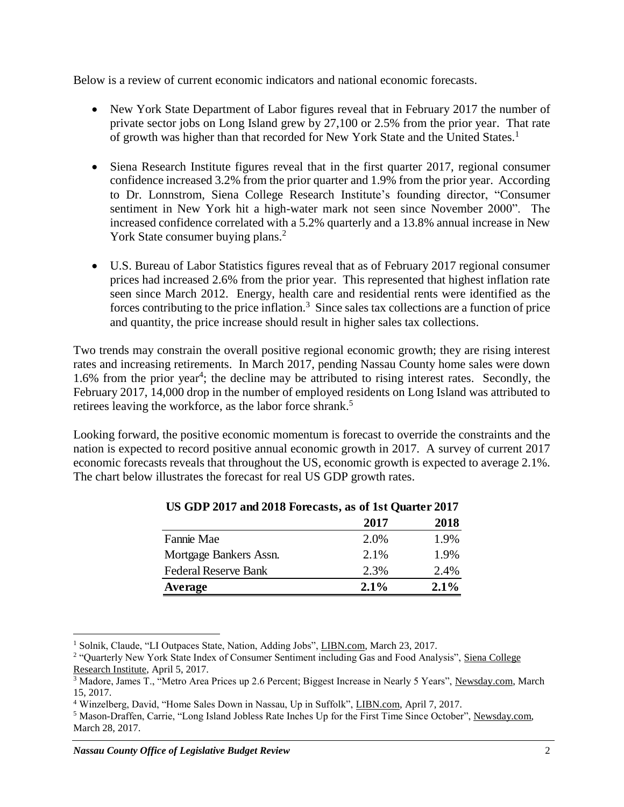Below is a review of current economic indicators and national economic forecasts.

- New York State Department of Labor figures reveal that in February 2017 the number of private sector jobs on Long Island grew by 27,100 or 2.5% from the prior year. That rate of growth was higher than that recorded for New York State and the United States.<sup>1</sup>
- Siena Research Institute figures reveal that in the first quarter 2017, regional consumer confidence increased 3.2% from the prior quarter and 1.9% from the prior year. According to Dr. Lonnstrom, Siena College Research Institute's founding director, "Consumer sentiment in New York hit a high-water mark not seen since November 2000". The increased confidence correlated with a 5.2% quarterly and a 13.8% annual increase in New York State consumer buying plans.<sup>2</sup>
- U.S. Bureau of Labor Statistics figures reveal that as of February 2017 regional consumer prices had increased 2.6% from the prior year. This represented that highest inflation rate seen since March 2012. Energy, health care and residential rents were identified as the forces contributing to the price inflation.<sup>3</sup> Since sales tax collections are a function of price and quantity, the price increase should result in higher sales tax collections.

Two trends may constrain the overall positive regional economic growth; they are rising interest rates and increasing retirements. In March 2017, pending Nassau County home sales were down 1.6% from the prior year<sup>4</sup>; the decline may be attributed to rising interest rates. Secondly, the February 2017, 14,000 drop in the number of employed residents on Long Island was attributed to retirees leaving the workforce, as the labor force shrank.<sup>5</sup>

Looking forward, the positive economic momentum is forecast to override the constraints and the nation is expected to record positive annual economic growth in 2017. A survey of current 2017 economic forecasts reveals that throughout the US, economic growth is expected to average 2.1%. The chart below illustrates the forecast for real US GDP growth rates.

|                             | 2017 | 2018 |
|-----------------------------|------|------|
| Fannie Mae                  | 2.0% | 1.9% |
| Mortgage Bankers Assn.      | 2.1% | 1.9% |
| <b>Federal Reserve Bank</b> | 2.3% | 2.4% |
| Average                     | 2.1% | 2.1% |

|  | US GDP 2017 and 2018 Forecasts, as of 1st Quarter 2017 |
|--|--------------------------------------------------------|
|  |                                                        |

 $\overline{a}$ 

<sup>&</sup>lt;sup>1</sup> Solnik, Claude, "LI Outpaces State, Nation, Adding Jobs", LIBN.com, March 23, 2017.

<sup>&</sup>lt;sup>2</sup> "Quarterly New York State Index of Consumer Sentiment including Gas and Food Analysis", Siena College Research Institute, April 5, 2017.

<sup>3</sup> Madore, James T., "Metro Area Prices up 2.6 Percent; Biggest Increase in Nearly 5 Years", Newsday.com, March 15, 2017.

<sup>4</sup> Winzelberg, David, "Home Sales Down in Nassau, Up in Suffolk", LIBN.com, April 7, 2017.

<sup>5</sup> Mason-Draffen, Carrie, "Long Island Jobless Rate Inches Up for the First Time Since October", Newsday.com, March 28, 2017.